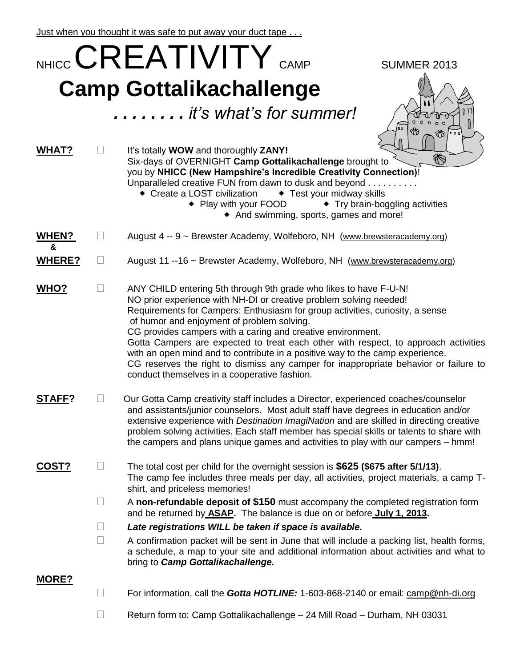Just when you thought it was safe to put away your duct tape . . .

|                   |        | NHICC <b>CREATIVITY</b> CAMP<br><b>SUMMER 2013</b>                                                                                                                                                                                                                                                                                                                                                                                                                                                                                                                                                                                                    |
|-------------------|--------|-------------------------------------------------------------------------------------------------------------------------------------------------------------------------------------------------------------------------------------------------------------------------------------------------------------------------------------------------------------------------------------------------------------------------------------------------------------------------------------------------------------------------------------------------------------------------------------------------------------------------------------------------------|
|                   |        | <b>Camp Gottalikachallenge</b><br>it's what's for summer!                                                                                                                                                                                                                                                                                                                                                                                                                                                                                                                                                                                             |
|                   |        | loo<br>₩                                                                                                                                                                                                                                                                                                                                                                                                                                                                                                                                                                                                                                              |
| WHAT?             |        | It's totally WOW and thoroughly ZANY!<br>$\bigcirc$<br>Six-days of OVERNIGHT Camp Gottalikachallenge brought to<br>you by NHICC (New Hampshire's Incredible Creativity Connection)!<br>Unparalleled creative FUN from dawn to dusk and beyond<br>◆ Create a LOST civilization<br>◆ Test your midway skills<br>• Play with your FOOD<br>• Try brain-boggling activities<br>• And swimming, sports, games and more!                                                                                                                                                                                                                                     |
| <b>WHEN?</b><br>& |        | August 4 -- 9 ~ Brewster Academy, Wolfeboro, NH (www.brewsteracademy.org)                                                                                                                                                                                                                                                                                                                                                                                                                                                                                                                                                                             |
| <b>WHERE?</b>     | $\Box$ | August 11 --16 ~ Brewster Academy, Wolfeboro, NH (www.brewsteracademy.org)                                                                                                                                                                                                                                                                                                                                                                                                                                                                                                                                                                            |
| <b>WHO?</b>       | $\Box$ | ANY CHILD entering 5th through 9th grade who likes to have F-U-N!<br>NO prior experience with NH-DI or creative problem solving needed!<br>Requirements for Campers: Enthusiasm for group activities, curiosity, a sense<br>of humor and enjoyment of problem solving.<br>CG provides campers with a caring and creative environment.<br>Gotta Campers are expected to treat each other with respect, to approach activities<br>with an open mind and to contribute in a positive way to the camp experience.<br>CG reserves the right to dismiss any camper for inappropriate behavior or failure to<br>conduct themselves in a cooperative fashion. |
| STAFF?            |        | Our Gotta Camp creativity staff includes a Director, experienced coaches/counselor<br>and assistants/junior counselors. Most adult staff have degrees in education and/or<br>extensive experience with Destination ImagiNation and are skilled in directing creative<br>problem solving activities. Each staff member has special skills or talents to share with<br>the campers and plans unique games and activities to play with our campers – hmm!                                                                                                                                                                                                |
| <u>COST?</u>      | $\Box$ | The total cost per child for the overnight session is \$625 (\$675 after 5/1/13).<br>The camp fee includes three meals per day, all activities, project materials, a camp T-<br>shirt, and priceless memories!                                                                                                                                                                                                                                                                                                                                                                                                                                        |
|                   | $\Box$ | A non-refundable deposit of \$150 must accompany the completed registration form<br>and be returned by ASAP. The balance is due on or before July 1, 2013.                                                                                                                                                                                                                                                                                                                                                                                                                                                                                            |
|                   | $\Box$ | Late registrations WILL be taken if space is available.                                                                                                                                                                                                                                                                                                                                                                                                                                                                                                                                                                                               |
|                   | $\Box$ | A confirmation packet will be sent in June that will include a packing list, health forms,<br>a schedule, a map to your site and additional information about activities and what to<br>bring to Camp Gottalikachallenge.                                                                                                                                                                                                                                                                                                                                                                                                                             |
| MORE?             | $\Box$ | For information, call the <b>Gotta HOTLINE:</b> 1-603-868-2140 or email: camp@nh-di.org                                                                                                                                                                                                                                                                                                                                                                                                                                                                                                                                                               |
|                   | $\Box$ | Return form to: Camp Gottalikachallenge - 24 Mill Road - Durham, NH 03031                                                                                                                                                                                                                                                                                                                                                                                                                                                                                                                                                                             |